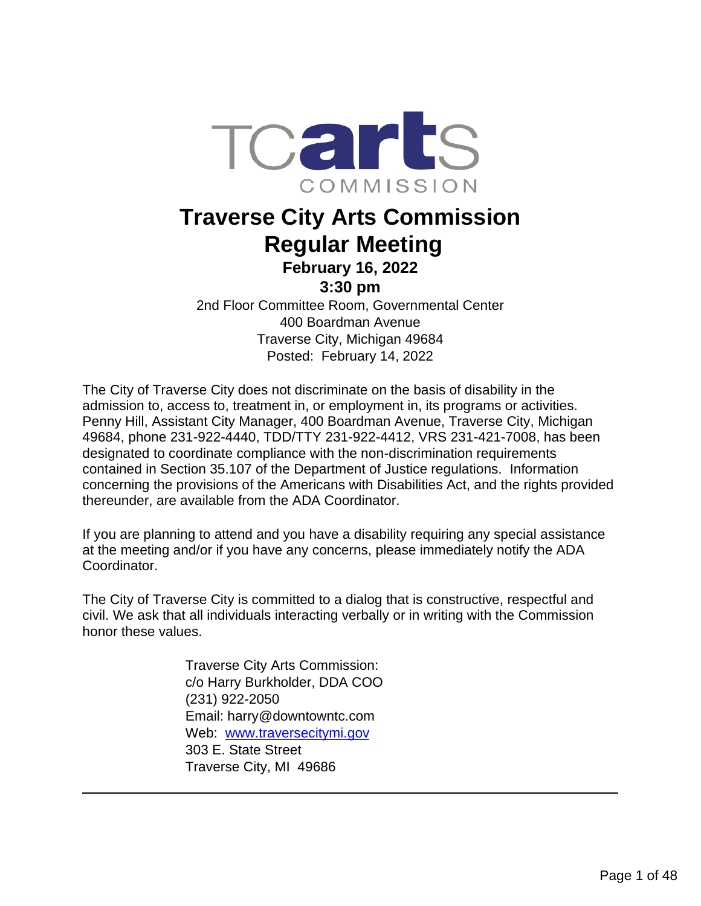

## **Traverse City Arts Commission Regular Meeting February 16, 2022**

**3:30 pm**

2nd Floor Committee Room, Governmental Center 400 Boardman Avenue Traverse City, Michigan 49684 Posted: February 14, 2022

The City of Traverse City does not discriminate on the basis of disability in the admission to, access to, treatment in, or employment in, its programs or activities. Penny Hill, Assistant City Manager, 400 Boardman Avenue, Traverse City, Michigan 49684, phone 231-922-4440, TDD/TTY 231-922-4412, VRS 231-421-7008, has been designated to coordinate compliance with the non-discrimination requirements contained in Section 35.107 of the Department of Justice regulations. Information concerning the provisions of the Americans with Disabilities Act, and the rights provided thereunder, are available from the ADA Coordinator.

If you are planning to attend and you have a disability requiring any special assistance at the meeting and/or if you have any concerns, please immediately notify the ADA Coordinator.

The City of Traverse City is committed to a dialog that is constructive, respectful and civil. We ask that all individuals interacting verbally or in writing with the Commission honor these values.

> Traverse City Arts Commission: c/o Harry Burkholder, DDA COO (231) 922-2050 Email: harry@downtowntc.com Web: [www.traversecitymi.gov](http://www.traversecitymi.gov/) 303 E. State Street Traverse City, MI 49686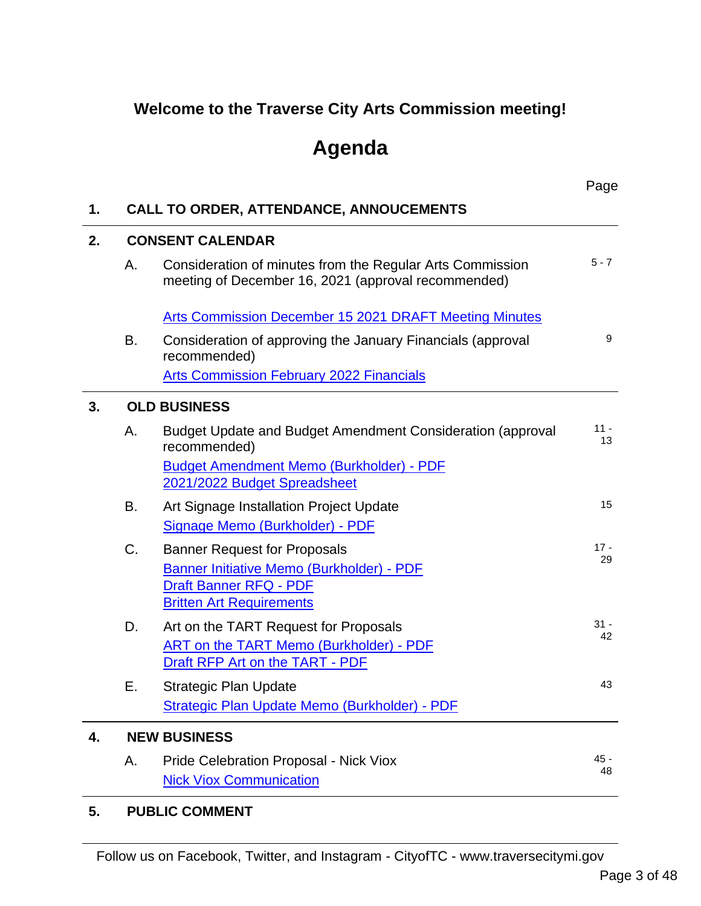## **Welcome to the Traverse City Arts Commission meeting!**

# **Agenda**

|                         |                                                                                                                                                      | Page                                                                                         |
|-------------------------|------------------------------------------------------------------------------------------------------------------------------------------------------|----------------------------------------------------------------------------------------------|
|                         |                                                                                                                                                      |                                                                                              |
| <b>CONSENT CALENDAR</b> |                                                                                                                                                      |                                                                                              |
| Α.                      | Consideration of minutes from the Regular Arts Commission<br>meeting of December 16, 2021 (approval recommended)                                     | $5 - 7$                                                                                      |
|                         | Arts Commission December 15 2021 DRAFT Meeting Minutes                                                                                               |                                                                                              |
| В.                      | Consideration of approving the January Financials (approval<br>recommended)                                                                          | 9                                                                                            |
|                         | <b>Arts Commission February 2022 Financials</b>                                                                                                      |                                                                                              |
|                         |                                                                                                                                                      |                                                                                              |
| Α.                      | Budget Update and Budget Amendment Consideration (approval<br>recommended)                                                                           | $11 -$<br>13                                                                                 |
|                         | <b>Budget Amendment Memo (Burkholder) - PDF</b><br>2021/2022 Budget Spreadsheet                                                                      |                                                                                              |
| В.                      | Art Signage Installation Project Update                                                                                                              | 15                                                                                           |
|                         | Signage Memo (Burkholder) - PDF                                                                                                                      |                                                                                              |
| C.                      | <b>Banner Request for Proposals</b><br>Banner Initiative Memo (Burkholder) - PDF<br><b>Draft Banner RFQ - PDF</b><br><b>Britten Art Requirements</b> | $17 -$<br>29                                                                                 |
| D.                      | Art on the TART Request for Proposals<br>ART on the TART Memo (Burkholder) - PDF<br>Draft RFP Art on the TART - PDF                                  | $31 -$<br>42                                                                                 |
| Е.                      | <b>Strategic Plan Update</b><br>Strategic Plan Update Memo (Burkholder) - PDF                                                                        | 43                                                                                           |
|                         |                                                                                                                                                      |                                                                                              |
| Α.                      | Pride Celebration Proposal - Nick Viox<br><b>Nick Viox Communication</b>                                                                             | $45 -$<br>48                                                                                 |
|                         |                                                                                                                                                      | <b>CALL TO ORDER, ATTENDANCE, ANNOUCEMENTS</b><br><b>OLD BUSINESS</b><br><b>NEW BUSINESS</b> |

#### **5. PUBLIC COMMENT**